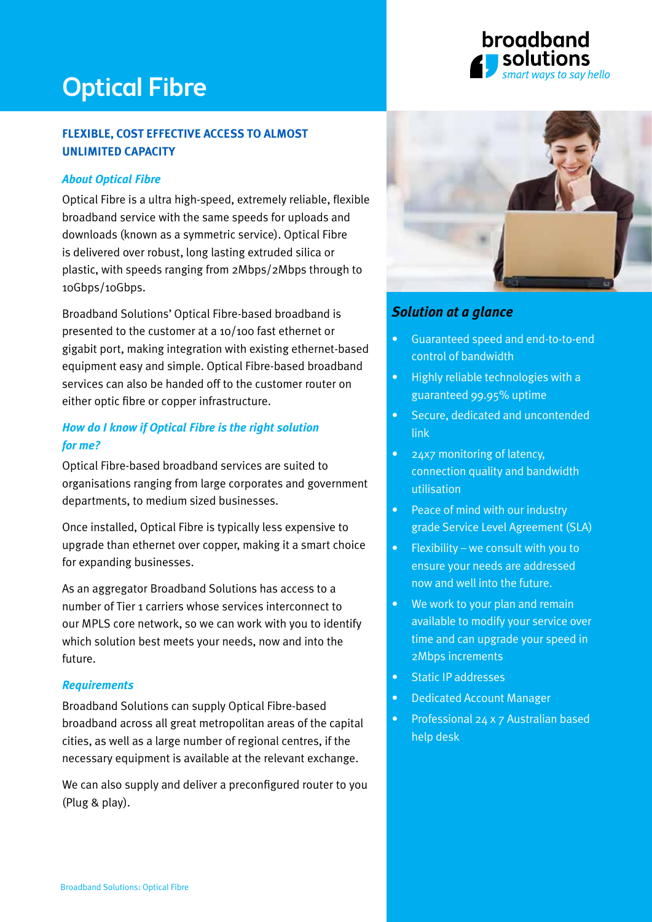# Optical Fibre

# **flexible, cost effective access to almost unlimited capacity**

### *About Optical Fibre*

Optical Fibre is a ultra high-speed, extremely reliable, flexible broadband service with the same speeds for uploads and downloads (known as a symmetric service). Optical Fibre is delivered over robust, long lasting extruded silica or plastic, with speeds ranging from 2Mbps/2Mbps through to 10Gbps/10Gbps.

Broadband Solutions' Optical Fibre-based broadband is presented to the customer at a 10/100 fast ethernet or gigabit port, making integration with existing ethernet-based equipment easy and simple. Optical Fibre-based broadband services can also be handed off to the customer router on either optic fibre or copper infrastructure.

## *How do I know if Optical Fibre is the right solution for me?*

Optical Fibre-based broadband services are suited to organisations ranging from large corporates and government departments, to medium sized businesses.

Once installed, Optical Fibre is typically less expensive to upgrade than ethernet over copper, making it a smart choice for expanding businesses.

As an aggregator Broadband Solutions has access to a number of Tier 1 carriers whose services interconnect to our MPLS core network, so we can work with you to identify which solution best meets your needs, now and into the future.

#### *Requirements*

Broadband Solutions can supply Optical Fibre-based broadband across all great metropolitan areas of the capital cities, as well as a large number of regional centres, if the necessary equipment is available at the relevant exchange.

We can also supply and deliver a preconfigured router to you (Plug & play).



broadband

ways to say hello

# *Solution at a glance*

- Guaranteed speed and end-to-to-end control of bandwidth
- Highly reliable technologies with a guaranteed 99.95% uptime
- Secure, dedicated and uncontended link
- 24x7 monitoring of latency, connection quality and bandwidth utilisation
- Peace of mind with our industry grade Service Level Agreement (SLA)
- Flexibility we consult with you to ensure your needs are addressed now and well into the future.
- We work to your plan and remain available to modify your service over time and can upgrade your speed in 2Mbps increments
- Static IP addresses
- Dedicated Account Manager
- Professional 24 x 7 Australian based help desk